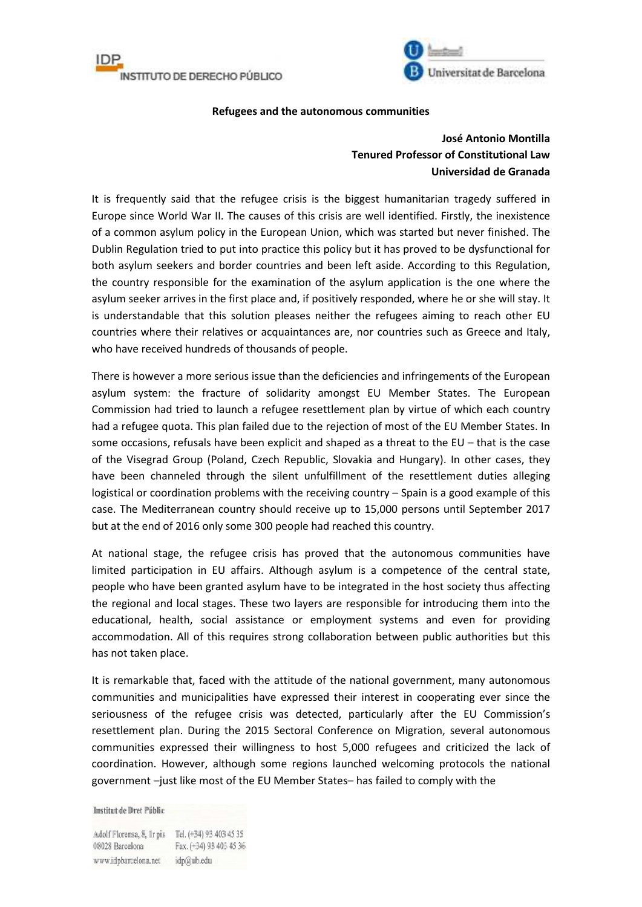



## **Refugees and the autonomous communities**

## **José Antonio Montilla Tenured Professor of Constitutional Law Universidad de Granada**

It is frequently said that the refugee crisis is the biggest humanitarian tragedy suffered in Europe since World War II. The causes of this crisis are well identified. Firstly, the inexistence of a common asylum policy in the European Union, which was started but never finished. The Dublin Regulation tried to put into practice this policy but it has proved to be dysfunctional for both asylum seekers and border countries and been left aside. According to this Regulation, the country responsible for the examination of the asylum application is the one where the asylum seeker arrives in the first place and, if positively responded, where he or she will stay. It is understandable that this solution pleases neither the refugees aiming to reach other EU countries where their relatives or acquaintances are, nor countries such as Greece and Italy, who have received hundreds of thousands of people.

There is however a more serious issue than the deficiencies and infringements of the European asylum system: the fracture of solidarity amongst EU Member States. The European Commission had tried to launch a refugee resettlement plan by virtue of which each country had a refugee quota. This plan failed due to the rejection of most of the EU Member States. In some occasions, refusals have been explicit and shaped as a threat to the EU – that is the case of the Visegrad Group (Poland, Czech Republic, Slovakia and Hungary). In other cases, they have been channeled through the silent unfulfillment of the resettlement duties alleging logistical or coordination problems with the receiving country – Spain is a good example of this case. The Mediterranean country should receive up to 15,000 persons until September 2017 but at the end of 2016 only some 300 people had reached this country.

At national stage, the refugee crisis has proved that the autonomous communities have limited participation in EU affairs. Although asylum is a competence of the central state, people who have been granted asylum have to be integrated in the host society thus affecting the regional and local stages. These two layers are responsible for introducing them into the educational, health, social assistance or employment systems and even for providing accommodation. All of this requires strong collaboration between public authorities but this has not taken place.

It is remarkable that, faced with the attitude of the national government, many autonomous communities and municipalities have expressed their interest in cooperating ever since the seriousness of the refugee crisis was detected, particularly after the EU Commission's resettlement plan. During the 2015 Sectoral Conference on Migration, several autonomous communities expressed their willingness to host 5,000 refugees and criticized the lack of coordination. However, although some regions launched welcoming protocols the national government –just like most of the EU Member States– has failed to comply with the

Institut de Dret Públic

Adolf Florensa, 8, Ir pis Tel. (+34) 93 403 45 35 08028 Barcelona Fax. (+34) 93 403 45 36 www.idpbarcelona.net idp@ub.edu